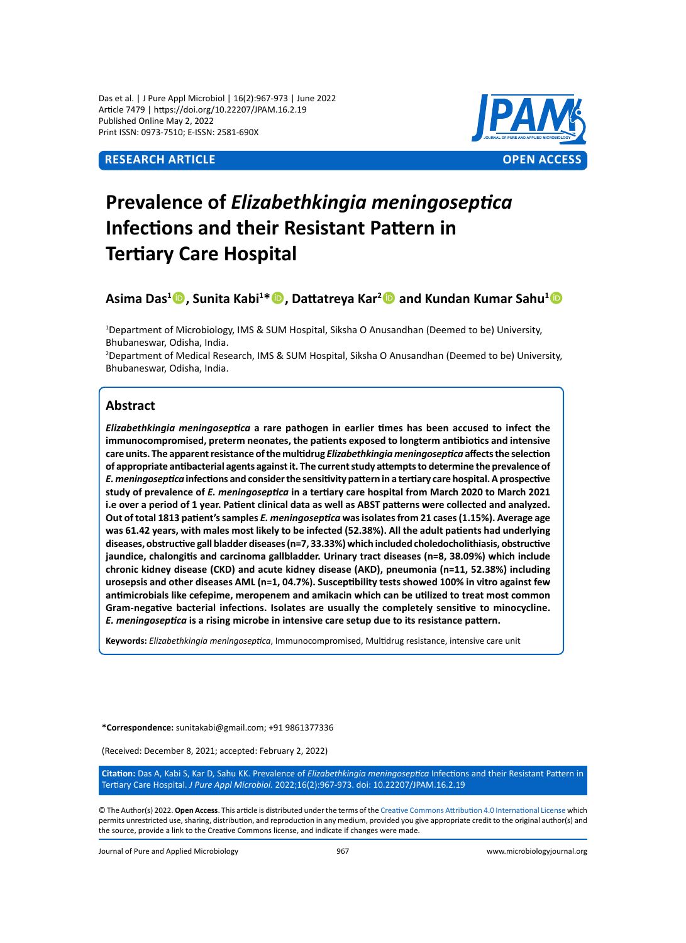Das et al. | J Pure Appl Microbiol | 16(2):967-973 | June 2022 Article 7479 | https://doi.org/10.22207/JPAM.16.2.19 Published Online May 2, 2022 Print ISSN: 0973-7510; E-ISSN: 2581-690X

# **Research Article OPEN ACCESS**



# **Prevalence of** *Elizabethkingia meningoseptica* **Infections and their Resistant Pattern in Tertiary Care Hospital**

**Asima Das1 , Sunita Kabi1 \*, Dattatreya Kar<sup>2</sup> and Kundan Kumar Sahu<sup>1</sup>**

1 Department of Microbiology, IMS & SUM Hospital, Siksha O Anusandhan (Deemed to be) University, Bhubaneswar, Odisha, India.

2 Department of Medical Research, IMS & SUM Hospital, Siksha O Anusandhan (Deemed to be) University, Bhubaneswar, Odisha, India.

# **Abstract**

*Elizabethkingia meningoseptica* **a rare pathogen in earlier times has been accused to infect the immunocompromised, preterm neonates, the patients exposed to longterm antibiotics and intensive care units. The apparent resistance of the multidrug** *Elizabethkingia meningoseptica* **affects the selection of appropriate antibacterial agents against it. The current study attempts to determine the prevalence of**  *E. meningoseptica* **infections and consider the sensitivity pattern in a tertiary care hospital. A prospective study of prevalence of** *E. meningoseptica* **in a tertiary care hospital from March 2020 to March 2021 i.e over a period of 1 year. Patient clinical data as well as ABST patterns were collected and analyzed. Out of total 1813 patient's samples** *E. meningoseptica* **was isolates from 21 cases (1.15%). Average age was 61.42 years, with males most likely to be infected (52.38%). All the adult patients had underlying diseases, obstructive gall bladder diseases (n=7, 33.33%) which included choledocholithiasis, obstructive jaundice, chalongitis and carcinoma gallbladder. Urinary tract diseases (n=8, 38.09%) which include chronic kidney disease (CKD) and acute kidney disease (AKD), pneumonia (n=11, 52.38%) including urosepsis and other diseases AML (n=1, 04.7%). Susceptibility tests showed 100% in vitro against few antimicrobials like cefepime, meropenem and amikacin which can be utilized to treat most common Gram-negative bacterial infections. Isolates are usually the completely sensitive to minocycline.**  *E. meningoseptica* **is a rising microbe in intensive care setup due to its resistance pattern.**

**Keywords:** *Elizabethkingia meningoseptica*, Immunocompromised, Multidrug resistance, intensive care unit

**\*Correspondence:** sunitakabi@gmail.com; +91 9861377336

(Received: December 8, 2021; accepted: February 2, 2022)

**Citation:** Das A, Kabi S, Kar D, Sahu KK. Prevalence of *Elizabethkingia meningoseptica* Infections and their Resistant Pattern in Tertiary Care Hospital. *J Pure Appl Microbiol.* 2022;16(2):967-973. doi: 10.22207/JPAM.16.2.19

© The Author(s) 2022. **Open Access**. This article is distributed under the terms of the [Creative Commons Attribution 4.0 International License](https://creativecommons.org/licenses/by/4.0/) which permits unrestricted use, sharing, distribution, and reproduction in any medium, provided you give appropriate credit to the original author(s) and the source, provide a link to the Creative Commons license, and indicate if changes were made.

Journal of Pure and Applied Microbiology 967 www.microbiologyjournal.org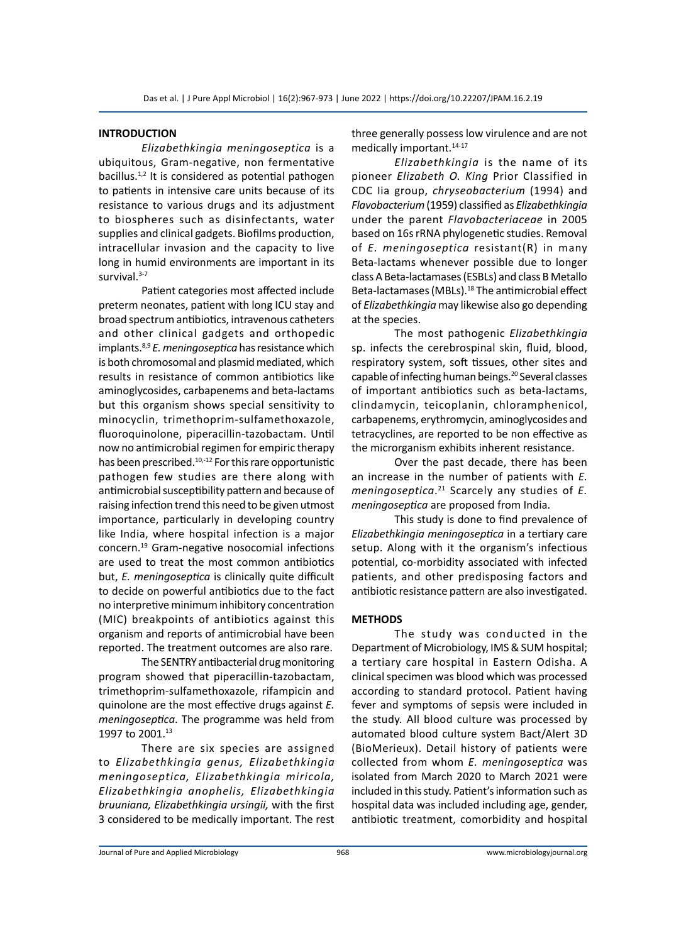## **INTRODUCTION**

*Elizabethkingia meningoseptica* is a ubiquitous, Gram-negative, non fermentative bacillus.<sup>1,2</sup> It is considered as potential pathogen to patients in intensive care units because of its resistance to various drugs and its adjustment to biospheres such as disinfectants, water supplies and clinical gadgets. Biofilms production, intracellular invasion and the capacity to live long in humid environments are important in its survival.<sup>3-7</sup>

Patient categories most affected include preterm neonates, patient with long ICU stay and broad spectrum antibiotics, intravenous catheters and other clinical gadgets and orthopedic implants.8,9 *E. meningoseptica* has resistance which is both chromosomal and plasmid mediated, which results in resistance of common antibiotics like aminoglycosides, carbapenems and beta-lactams but this organism shows special sensitivity to minocyclin, trimethoprim-sulfamethoxazole, fluoroquinolone, piperacillin-tazobactam. Until now no antimicrobial regimen for empiric therapy has been prescribed.<sup>10,-12</sup> For this rare opportunistic pathogen few studies are there along with antimicrobial susceptibility pattern and because of raising infection trend this need to be given utmost importance, particularly in developing country like India, where hospital infection is a major concern.19 Gram-negative nosocomial infections are used to treat the most common antibiotics but, *E. meningoseptica* is clinically quite difficult to decide on powerful antibiotics due to the fact no interpretive minimum inhibitory concentration (MIC) breakpoints of antibiotics against this organism and reports of antimicrobial have been reported. The treatment outcomes are also rare.

The SENTRY antibacterial drug monitoring program showed that piperacillin-tazobactam, trimethoprim-sulfamethoxazole, rifampicin and quinolone are the most effective drugs against *E. meningoseptica*. The programme was held from 1997 to 2001.<sup>13</sup>

There are six species are assigned to *Elizabethkingia genus, Elizabethkingia meningoseptica, Elizabethkingia miricola, Elizabethkingia anophelis, Elizabethkingia bruuniana, Elizabethkingia ursingii,* with the first 3 considered to be medically important. The rest three generally possess low virulence and are not medically important.<sup>14-17</sup>

*Elizabethkingia* is the name of its pioneer *Elizabeth O. King* Prior Classified in CDC Iia group, *chryseobacterium* (1994) and *Flavobacterium* (1959) classified as *Elizabethkingia* under the parent *Flavobacteriaceae* in 2005 based on 16s rRNA phylogenetic studies. Removal of *E. meningoseptica* resistant(R) in many Beta-lactams whenever possible due to longer class A Beta-lactamases (ESBLs) and class B Metallo Beta-lactamases (MBLs).<sup>18</sup> The antimicrobial effect of *Elizabethkingia* may likewise also go depending at the species.

The most pathogenic *Elizabethkingia* sp. infects the cerebrospinal skin, fluid, blood, respiratory system, soft tissues, other sites and capable of infecting human beings.<sup>20</sup> Several classes of important antibiotics such as beta-lactams, clindamycin, teicoplanin, chloramphenicol, carbapenems, erythromycin, aminoglycosides and tetracyclines, are reported to be non effective as the microrganism exhibits inherent resistance.

Over the past decade, there has been an increase in the number of patients with *E. meningoseptica*. 21 Scarcely any studies of *E. meningoseptica* are proposed from India.

This study is done to find prevalence of *Elizabethkingia meningoseptica* in a tertiary care setup. Along with it the organism's infectious potential, co-morbidity associated with infected patients, and other predisposing factors and antibiotic resistance pattern are also investigated.

#### **METHODS**

The study was conducted in the Department of Microbiology, IMS & SUM hospital; a tertiary care hospital in Eastern Odisha. A clinical specimen was blood which was processed according to standard protocol. Patient having fever and symptoms of sepsis were included in the study. All blood culture was processed by automated blood culture system Bact/Alert 3D (BioMerieux). Detail history of patients were collected from whom *E. meningoseptica* was isolated from March 2020 to March 2021 were included in this study. Patient's information such as hospital data was included including age, gender, antibiotic treatment, comorbidity and hospital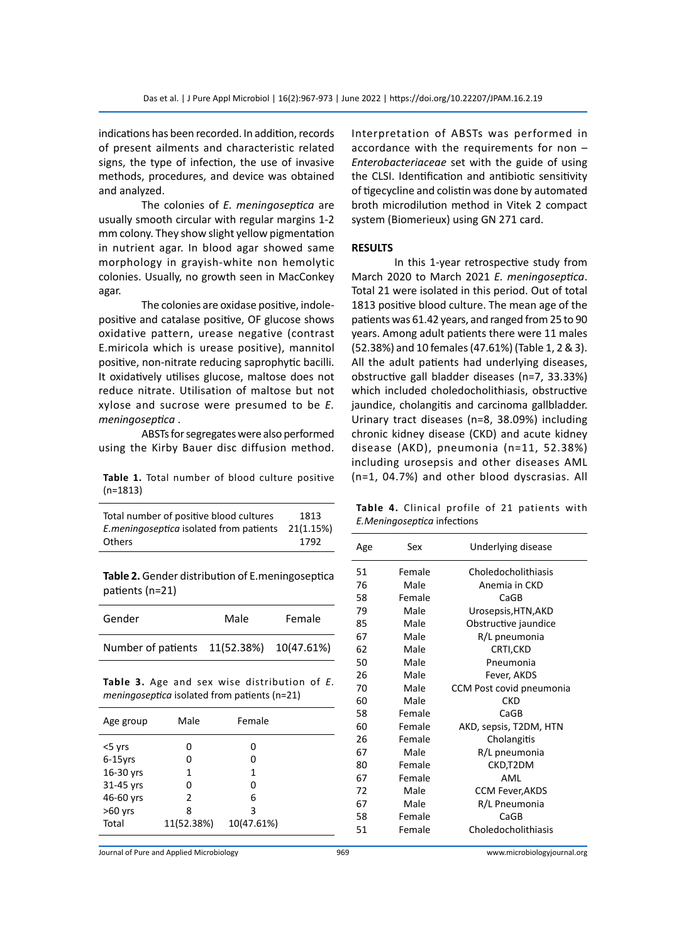indications has been recorded. In addition, records of present ailments and characteristic related signs, the type of infection, the use of invasive methods, procedures, and device was obtained and analyzed.

The colonies of *E. meningoseptica* are usually smooth circular with regular margins 1-2 mm colony. They show slight yellow pigmentation in nutrient agar. In blood agar showed same morphology in grayish-white non hemolytic colonies. Usually, no growth seen in MacConkey agar.

The colonies are oxidase positive, indolepositive and catalase positive, OF glucose shows oxidative pattern, urease negative (contrast E.miricola which is urease positive), mannitol positive, non-nitrate reducing saprophytic bacilli. It oxidatively utilises glucose, maltose does not reduce nitrate. Utilisation of maltose but not xylose and sucrose were presumed to be *E. meningoseptica* .

ABSTs for segregates were also performed using the Kirby Bauer disc diffusion method.

**Table 1.** Total number of blood culture positive (n=1813)

| Total number of positive blood cultures | 1813      |
|-----------------------------------------|-----------|
| E.meningoseptica isolated from patients | 21(1.15%) |
| Others                                  | 1792      |

**Table 2.** Gender distribution of E.meningoseptica patients (n=21)

| Gender                                   | Male | Female |
|------------------------------------------|------|--------|
| Number of patients 11(52.38%) 10(47.61%) |      |        |

**Table 3.** Age and sex wise distribution of *E. meningoseptica* isolated from patients (n=21)

| Age group  | Male          | Female     |  |
|------------|---------------|------------|--|
| <5 yrs     | 0             | 0          |  |
| $6-15$ yrs | o             | 0          |  |
| 16-30 yrs  | 1             | 1          |  |
| 31-45 yrs  | o             | ი          |  |
| 46-60 yrs  | $\mathcal{P}$ | 6          |  |
| $>60$ yrs  | 8             | 3          |  |
| Total      | 11(52.38%)    | 10(47.61%) |  |

Interpretation of ABSTs was performed in accordance with the requirements for non – *Enterobacteriaceae* set with the guide of using the CLSI. Identification and antibiotic sensitivity of tigecycline and colistin was done by automated broth microdilution method in Vitek 2 compact system (Biomerieux) using GN 271 card.

## **RESULTS**

In this 1-year retrospective study from March 2020 to March 2021 *E. meningoseptica*. Total 21 were isolated in this period. Out of total 1813 positive blood culture. The mean age of the patients was 61.42 years, and ranged from 25 to 90 years. Among adult patients there were 11 males (52.38%) and 10 females (47.61%) (Table 1, 2 & 3). All the adult patients had underlying diseases, obstructive gall bladder diseases (n=7, 33.33%) which included choledocholithiasis, obstructive jaundice, cholangitis and carcinoma gallbladder. Urinary tract diseases (n=8, 38.09%) including chronic kidney disease (CKD) and acute kidney disease (AKD), pneumonia (n=11, 52.38%) including urosepsis and other diseases AML (n=1, 04.7%) and other blood dyscrasias. All

**Table 4.** Clinical profile of 21 patients with *E.Meningoseptica* infections

| Age | Sex    | Underlying disease       |
|-----|--------|--------------------------|
| 51  | Female | Choledocholithiasis      |
| 76  | Male   | Anemia in CKD            |
| 58  | Female | CaGB                     |
| 79  | Male   | Urosepsis, HTN, AKD      |
| 85  | Male   | Obstructive jaundice     |
| 67  | Male   | R/L pneumonia            |
| 62  | Male   | CRTI,CKD                 |
| 50  | Male   | Pneumonia                |
| 26  | Male   | Fever, AKDS              |
| 70  | Male   | CCM Post covid pneumonia |
| 60  | Male   | <b>CKD</b>               |
| 58  | Female | CaGB                     |
| 60  | Female | AKD, sepsis, T2DM, HTN   |
| 26  | Female | Cholangitis              |
| 67  | Male   | R/L pneumonia            |
| 80  | Female | CKD,T2DM                 |
| 67  | Female | AML                      |
| 72  | Male   | <b>CCM Fever, AKDS</b>   |
| 67  | Male   | R/L Pneumonia            |
| 58  | Female | CaGB                     |
| 51  | Female | Choledocholithiasis      |

Journal of Pure and Applied Microbiology 969 www.microbiologyjournal.org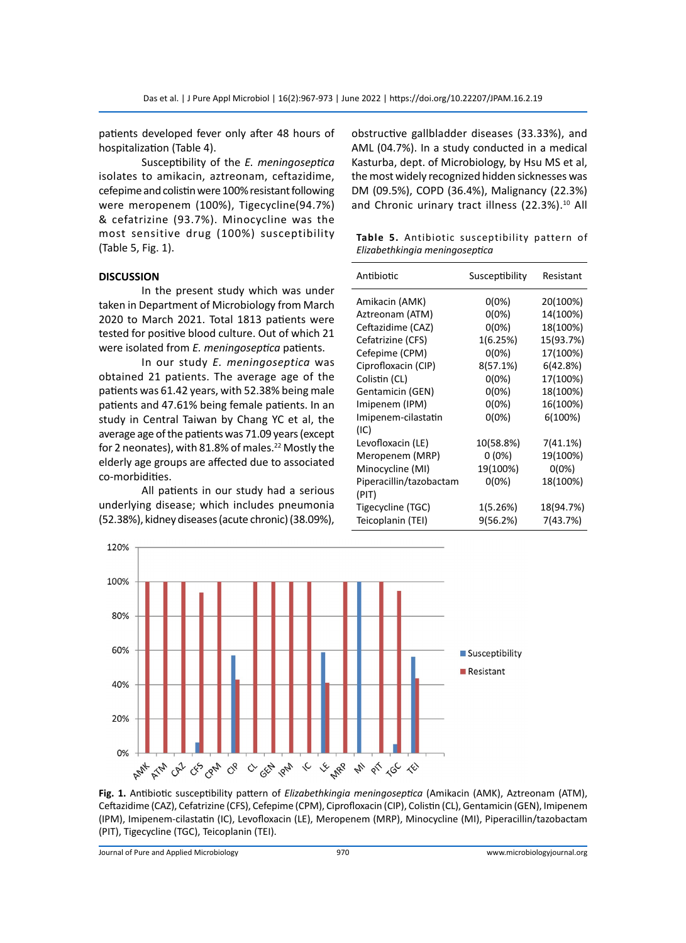patients developed fever only after 48 hours of hospitalization (Table 4).

Susceptibility of the *E. meningoseptica* isolates to amikacin, aztreonam, ceftazidime, cefepime and colistin were 100% resistant following were meropenem (100%), Tigecycline(94.7%) & cefatrizine (93.7%). Minocycline was the most sensitive drug (100%) susceptibility (Table 5, Fig. 1).

## **DISCUSSION**

In the present study which was under taken in Department of Microbiology from March 2020 to March 2021. Total 1813 patients were tested for positive blood culture. Out of which 21 were isolated from *E. meningoseptica* patients.

In our study *E. meningoseptica* was obtained 21 patients. The average age of the patients was 61.42 years, with 52.38% being male patients and 47.61% being female patients. In an study in Central Taiwan by Chang YC et al, the average age of the patients was 71.09 years (except for 2 neonates), with 81.8% of males.<sup>22</sup> Mostly the elderly age groups are affected due to associated co-morbidities.

All patients in our study had a serious underlying disease; which includes pneumonia (52.38%), kidney diseases (acute chronic) (38.09%),

obstructive gallbladder diseases (33.33%), and AML (04.7%). In a study conducted in a medical Kasturba, dept. of Microbiology, by Hsu MS et al, the most widely recognized hidden sicknesses was DM (09.5%), COPD (36.4%), Malignancy (22.3%) and Chronic urinary tract illness (22.3%).<sup>10</sup> All

**Table 5.** Antibiotic susceptibility pattern of *Elizabethkingia meningoseptica*

| Antibiotic              | Susceptibility | Resistant |
|-------------------------|----------------|-----------|
| Amikacin (AMK)          | $0(0\%)$       | 20(100%)  |
| Aztreonam (ATM)         | $0(0\%)$       | 14(100%)  |
| Ceftazidime (CAZ)       | 0(0%)          | 18(100%)  |
| Cefatrizine (CFS)       | 1(6.25%)       | 15(93.7%) |
| Cefepime (CPM)          | $0(0\%)$       | 17(100%)  |
| Ciprofloxacin (CIP)     | 8(57.1%)       | 6(42.8%)  |
| Colistin (CL)           | $0(0\%)$       | 17(100%)  |
| Gentamicin (GEN)        | $0(0\%)$       | 18(100%)  |
| Imipenem (IPM)          | $0(0\%)$       | 16(100%)  |
| Imipenem-cilastatin     | $0(0\%)$       | 6(100%)   |
| (IC)                    |                |           |
| Levofloxacin (LE)       | 10(58.8%)      | 7(41.1%)  |
| Meropenem (MRP)         | 0(0%)          | 19(100%)  |
| Minocycline (MI)        | 19(100%)       | $0(0\%)$  |
| Piperacillin/tazobactam | $0(0\%)$       | 18(100%)  |
| (PIT)                   |                |           |
| Tigecycline (TGC)       | 1(5.26%)       | 18(94.7%) |
| Teicoplanin (TEI)       | 9(56.2%)       | 7(43.7%)  |



**Fig. 1.** Antibiotic susceptibility pattern of *Elizabethkingia meningoseptica* (Amikacin (AMK), Aztreonam (ATM), Ceftazidime (CAZ), Cefatrizine (CFS), Cefepime (CPM), Ciprofloxacin (CIP), Colistin (CL), Gentamicin (GEN), Imipenem (IPM), Imipenem-cilastatin (IC), Levofloxacin (LE), Meropenem (MRP), Minocycline (MI), Piperacillin/tazobactam (PIT), Tigecycline (TGC), Teicoplanin (TEI).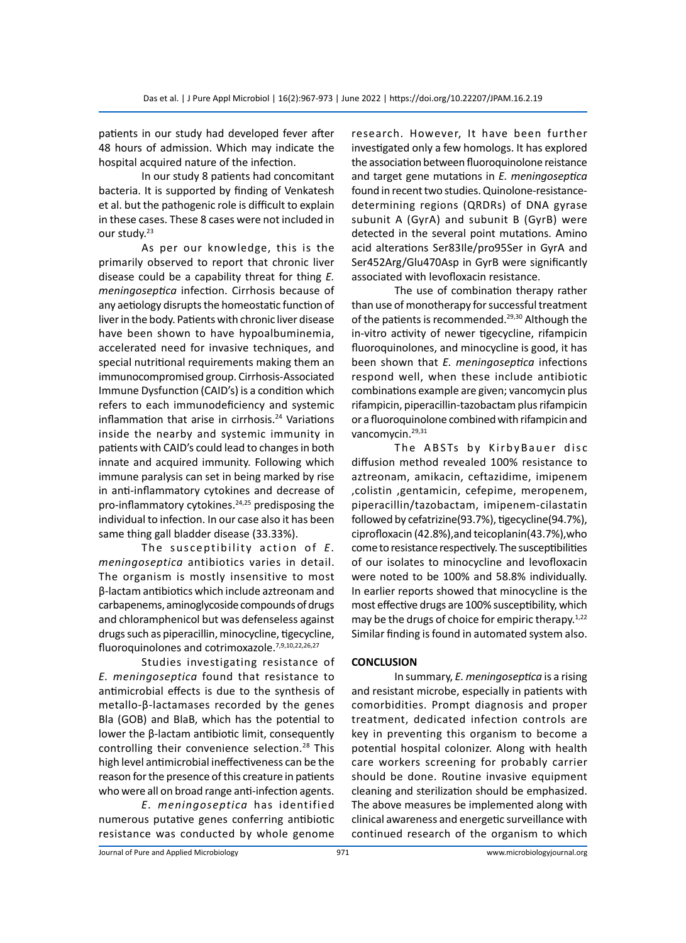patients in our study had developed fever after 48 hours of admission. Which may indicate the hospital acquired nature of the infection.

In our study 8 patients had concomitant bacteria. It is supported by finding of Venkatesh et al. but the pathogenic role is difficult to explain in these cases. These 8 cases were not included in our study.<sup>23</sup>

As per our knowledge, this is the primarily observed to report that chronic liver disease could be a capability threat for thing *E. meningoseptica* infection. Cirrhosis because of any aetiology disrupts the homeostatic function of liver in the body. Patients with chronic liver disease have been shown to have hypoalbuminemia, accelerated need for invasive techniques, and special nutritional requirements making them an immunocompromised group. Cirrhosis-Associated Immune Dysfunction (CAID's) is a condition which refers to each immunodeficiency and systemic inflammation that arise in cirrhosis.<sup>24</sup> Variations inside the nearby and systemic immunity in patients with CAID's could lead to changes in both innate and acquired immunity. Following which immune paralysis can set in being marked by rise in anti-inflammatory cytokines and decrease of pro-inflammatory cytokines.<sup>24,25</sup> predisposing the individual to infection. In our case also it has been same thing gall bladder disease (33.33%).

The susceptibility action of *E*. *meningoseptica* antibiotics varies in detail. The organism is mostly insensitive to most β-lactam antibiotics which include aztreonam and carbapenems, aminoglycoside compounds of drugs and chloramphenicol but was defenseless against drugs such as piperacillin, minocycline, tigecycline, fluoroquinolones and cotrimoxazole.<sup>7,9,10,22,26,27</sup>

Studies investigating resistance of *E. meningoseptica* found that resistance to antimicrobial effects is due to the synthesis of metallo-β-lactamases recorded by the genes Bla (GOB) and BlaB, which has the potential to lower the β-lactam antibiotic limit, consequently controlling their convenience selection.<sup>28</sup> This high level antimicrobial ineffectiveness can be the reason for the presence of this creature in patients who were all on broad range anti-infection agents.

*E. meningoseptica* has identified numerous putative genes conferring antibiotic resistance was conducted by whole genome research. However, It have been further investigated only a few homologs. It has explored the association between fluoroquinolone reistance and target gene mutations in *E. meningoseptica*  found in recent two studies. Quinolone-resistancedetermining regions (QRDRs) of DNA gyrase subunit A (GyrA) and subunit B (GyrB) were detected in the several point mutations. Amino acid alterations Ser83Ile/pro95Ser in GyrA and Ser452Arg/Glu470Asp in GyrB were significantly associated with levofloxacin resistance.

The use of combination therapy rather than use of monotherapy for successful treatment of the patients is recommended.<sup>29,30</sup> Although the in-vitro activity of newer tigecycline, rifampicin fluoroquinolones, and minocycline is good, it has been shown that *E. meningoseptica* infections respond well, when these include antibiotic combinations example are given; vancomycin plus rifampicin, piperacillin-tazobactam plus rifampicin or a fluoroquinolone combined with rifampicin and vancomycin.<sup>29,31</sup>

The ABSTs by KirbyBauer disc diffusion method revealed 100% resistance to aztreonam, amikacin, ceftazidime, imipenem ,colistin ,gentamicin, cefepime, meropenem, piperacillin/tazobactam, imipenem-cilastatin followed by cefatrizine(93.7%), tigecycline(94.7%), ciprofloxacin (42.8%),and teicoplanin(43.7%),who come to resistance respectively. The susceptibilities of our isolates to minocycline and levofloxacin were noted to be 100% and 58.8% individually. In earlier reports showed that minocycline is the most effective drugs are 100% susceptibility, which may be the drugs of choice for empiric therapy.<sup>1,22</sup> Similar finding is found in automated system also.

## **CONCLUSION**

In summary, *E. meningoseptica* is a rising and resistant microbe, especially in patients with comorbidities. Prompt diagnosis and proper treatment, dedicated infection controls are key in preventing this organism to become a potential hospital colonizer. Along with health care workers screening for probably carrier should be done. Routine invasive equipment cleaning and sterilization should be emphasized. The above measures be implemented along with clinical awareness and energetic surveillance with continued research of the organism to which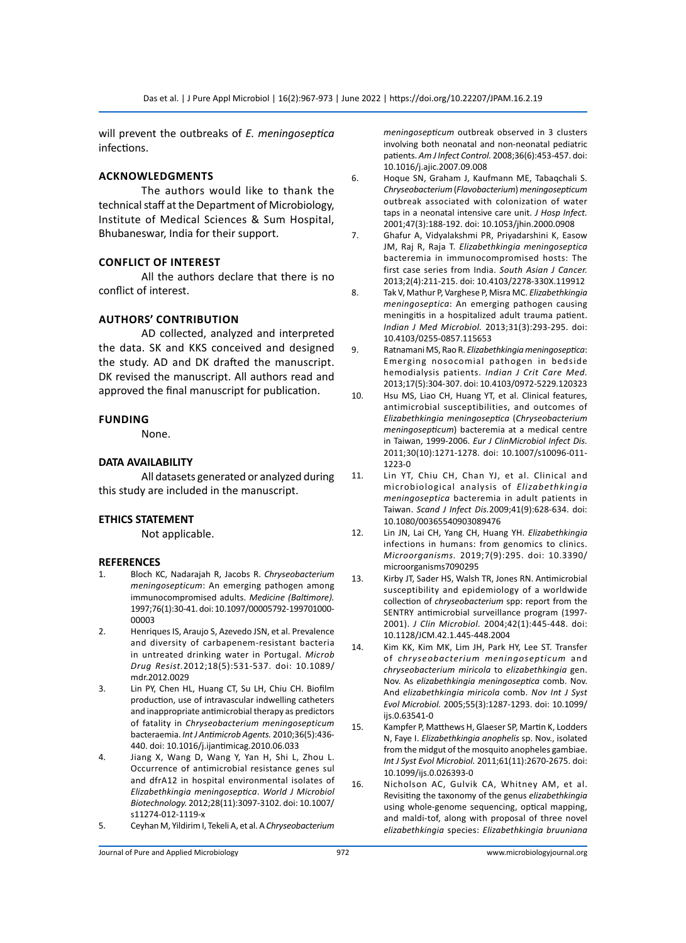will prevent the outbreaks of *E. meningoseptica* infections.

## **AcknowledgmentS**

The authors would like to thank the technical staff at the Department of Microbiology, Institute of Medical Sciences & Sum Hospital, Bhubaneswar, India for their support.

## **Conflict of Interest**

All the authors declare that there is no conflict of interest.

## **Authors' Contribution**

AD collected, analyzed and interpreted the data. SK and KKS conceived and designed the study. AD and DK drafted the manuscript. DK revised the manuscript. All authors read and approved the final manuscript for publication.

## **Funding**

None.

#### **DATA AVAILABILITY**

All datasets generated or analyzed during this study are included in the manuscript.

## **ETHICS STATEMENT**

Not applicable.

#### **REFERENCES**

- 1. Bloch KC, Nadarajah R, Jacobs R. *Chryseobacterium meningosepticum*: An emerging pathogen among immunocompromised adults. *Medicine (Baltimore).*  1997;76(1):30-41. doi: 10.1097/00005792-199701000- 00003
- 2. Henriques IS, Araujo S, Azevedo JSN, et al. Prevalence and diversity of carbapenem-resistant bacteria in untreated drinking water in Portugal. *Microb Drug Resist.*2012;18(5):531-537. doi: 10.1089/ mdr.2012.0029
- 3. Lin PY, Chen HL, Huang CT, Su LH, Chiu CH. Biofilm production, use of intravascular indwelling catheters and inappropriate antimicrobial therapy as predictors of fatality in *Chryseobacterium meningosepticum*  bacteraemia. *Int J Antimicrob Agents.* 2010;36(5):436- 440. doi: 10.1016/j.ijantimicag.2010.06.033
- 4. Jiang X, Wang D, Wang Y, Yan H, Shi L, Zhou L. Occurrence of antimicrobial resistance genes sul and dfrA12 in hospital environmental isolates of *Elizabethkingia meningoseptica*. *World J Microbiol Biotechnology.* 2012;28(11):3097-3102. doi: 10.1007/ s11274-012-1119-x
- 5. Ceyhan M, Yildirim I, Tekeli A, et al. A *Chryseobacterium*

*meningosepticum* outbreak observed in 3 clusters involving both neonatal and non-neonatal pediatric patients. *Am J Infect Control.* 2008;36(6):453-457. doi: 10.1016/j.ajic.2007.09.008

- 6. Hoque SN, Graham J, Kaufmann ME, Tabaqchali S. *Chryseobacterium* (*Flavobacterium*) *meningosepticum*  outbreak associated with colonization of water taps in a neonatal intensive care unit. *J Hosp Infect.*  2001;47(3):188-192. doi: 10.1053/jhin.2000.0908
- 7. Ghafur A, Vidyalakshmi PR, Priyadarshini K, Easow JM, Raj R, Raja T. *Elizabethkingia meningoseptica* bacteremia in immunocompromised hosts: The first case series from India. *South Asian J Cancer.*  2013;2(4):211-215. doi: 10.4103/2278-330X.119912
- 8. Tak V, Mathur P, Varghese P, Misra MC. *Elizabethkingia meningoseptica*: An emerging pathogen causing meningitis in a hospitalized adult trauma patient. *Indian J Med Microbiol.* 2013;31(3):293-295. doi: 10.4103/0255-0857.115653
- 9. Ratnamani MS, Rao R. *Elizabethkingia meningoseptica*: Emerging nosocomial pathogen in bedside hemodialysis patients. *Indian J Crit Care Med.*  2013;17(5):304-307. doi: 10.4103/0972-5229.120323
- 10. Hsu MS, Liao CH, Huang YT, et al. Clinical features, antimicrobial susceptibilities, and outcomes of *Elizabethkingia meningoseptica* (*Chryseobacterium meningosepticum*) bacteremia at a medical centre in Taiwan, 1999-2006. *Eur J ClinMicrobiol Infect Dis.*  2011;30(10):1271-1278. doi: 10.1007/s10096-011- 1223-0
- 11. Lin YT, Chiu CH, Chan YJ, et al. Clinical and microbiological analysis of *Elizabethkingia meningoseptica* bacteremia in adult patients in Taiwan. *Scand J Infect Dis.*2009;41(9):628-634. doi: 10.1080/00365540903089476
- 12. Lin JN, Lai CH, Yang CH, Huang YH. *Elizabethkingia* infections in humans: from genomics to clinics. *Microorganisms.* 2019;7(9):295. doi: 10.3390/ microorganisms7090295
- 13. Kirby JT, Sader HS, Walsh TR, Jones RN. Antimicrobial susceptibility and epidemiology of a worldwide collection of *chryseobacterium* spp: report from the SENTRY antimicrobial surveillance program (1997- 2001). *J Clin Microbiol.* 2004;42(1):445-448. doi: 10.1128/JCM.42.1.445-448.2004
- 14. Kim KK, Kim MK, Lim JH, Park HY, Lee ST. Transfer of *chryseobacterium meningosepticum* and *chryseobacterium miricola* to *elizabethkingia* gen. Nov. As *elizabethkingia meningoseptica* comb. Nov. And *elizabethkingia miricola* comb. *Nov Int J Syst Evol Microbiol.* 2005;55(3):1287-1293. doi: 10.1099/ ijs.0.63541-0
- 15. Kampfer P, Matthews H, Glaeser SP, Martin K, Lodders N, Faye I. *Elizabethkingia anophelis* sp. Nov., isolated from the midgut of the mosquito anopheles gambiae. *Int J Syst Evol Microbiol.* 2011;61(11):2670-2675. doi: 10.1099/ijs.0.026393-0
- 16. Nicholson AC, Gulvik CA, Whitney AM, et al. Revisiting the taxonomy of the genus *elizabethkingia*  using whole-genome sequencing, optical mapping, and maldi-tof, along with proposal of three novel *elizabethkingia* species: *Elizabethkingia bruuniana*